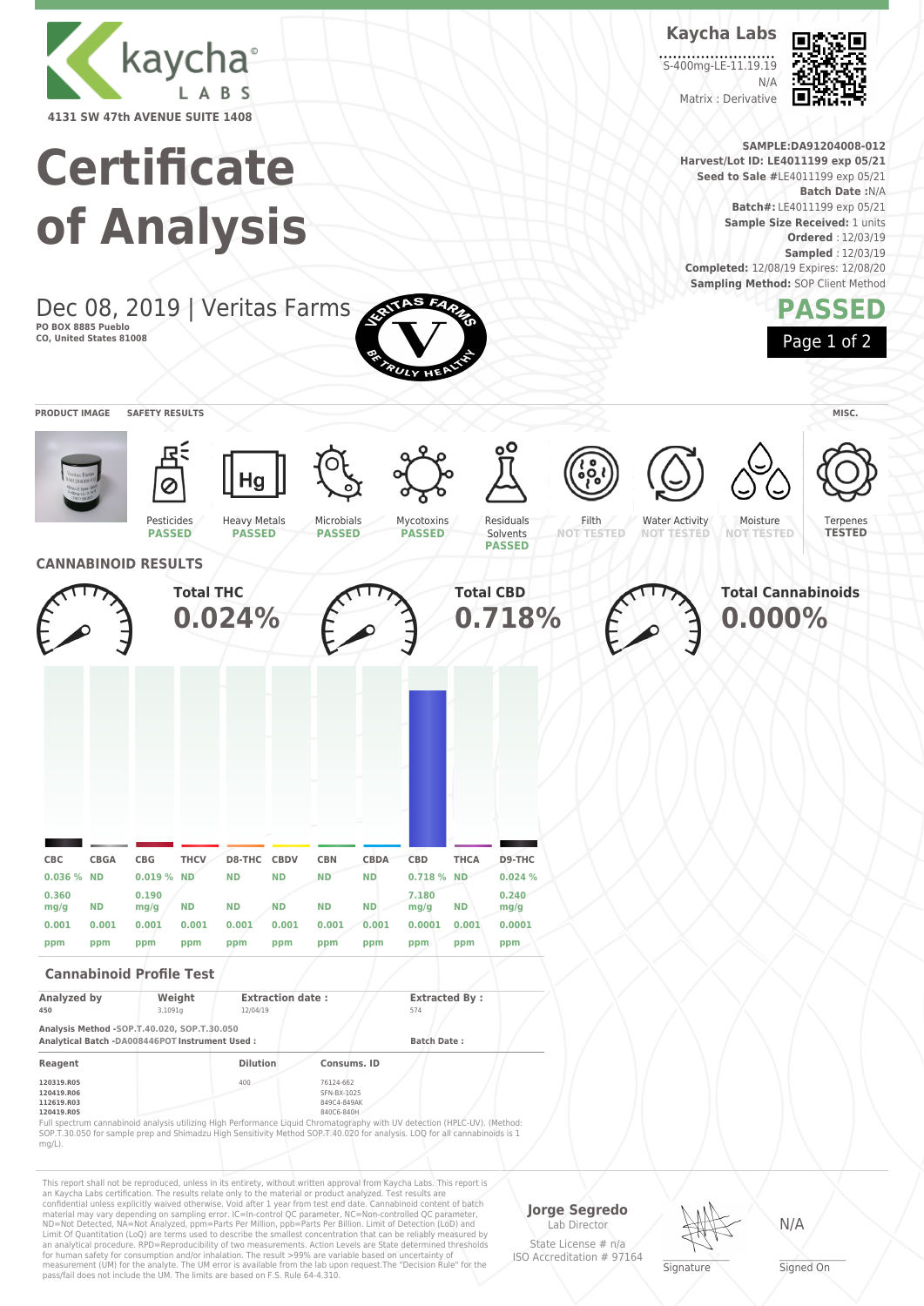

## **Certificate of Analysis**

Dec 08, 2019 | Veritas Farms **PO BOX 8885 Pueblo CO, United States 81008**



Limit Of Quantitation (LoQ) are terms used to describe the smallest concentration that can be reliably measured by an analytical procedure. RPD=Reproducibility of two measurements. Action Levels are State determined thresholds for human safety for consumption and/or inhalation. The result >99% are variable based on uncertainty of measurement (UM) for the analyte. The UM error is available from the lab upon request.The "Decision Rule" for the pass/fail does not include the UM. The limits are based on F.S. Rule 64-4.310. State License # n/a ISO Accreditation # 97164

**Signature** 

**Kaycha Labs**

S-400mg-LE-11.19.19

Matrix : Derivative

N/A

**Harvest/Lot ID: LE4011199 exp 05/21 Seed to Sale #**LE4011199 exp 05/21

**Completed:** 12/08/19 Expires: 12/08/20 **Sampling Method: SOP Client Method** 

**SAMPLE:DA91204008-012**

**Batch#:** LE4011199 exp 05/21 **Sample Size Received:** 1 units

**Batch Date :**N/A

**Ordered** : 12/03/19 **Sampled** : 12/03/19

**PASSED**

Page 1 of 2

\_\_\_\_\_\_\_\_\_\_\_\_\_\_\_\_\_\_\_ Signed On